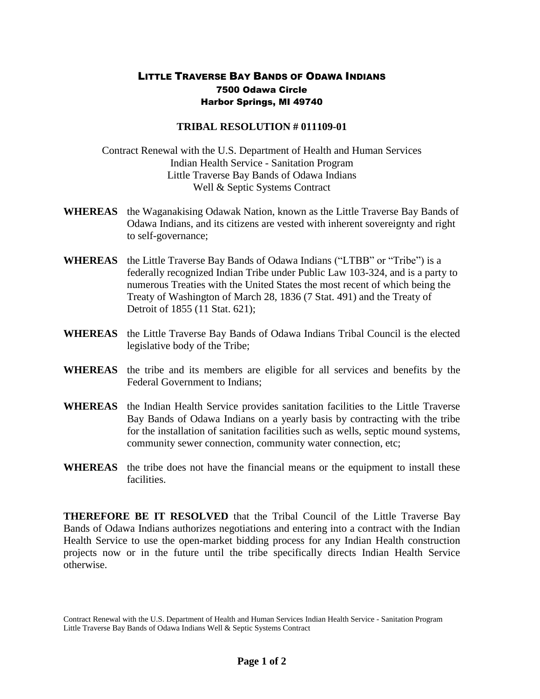## LITTLE TRAVERSE BAY BANDS OF ODAWA INDIANS 7500 Odawa Circle Harbor Springs, MI 49740

## **TRIBAL RESOLUTION # 011109-01**

Contract Renewal with the U.S. Department of Health and Human Services Indian Health Service - Sanitation Program Little Traverse Bay Bands of Odawa Indians Well & Septic Systems Contract

- **WHEREAS** the Waganakising Odawak Nation, known as the Little Traverse Bay Bands of Odawa Indians, and its citizens are vested with inherent sovereignty and right to self-governance;
- **WHEREAS** the Little Traverse Bay Bands of Odawa Indians ("LTBB" or "Tribe") is a federally recognized Indian Tribe under Public Law 103-324, and is a party to numerous Treaties with the United States the most recent of which being the Treaty of Washington of March 28, 1836 (7 Stat. 491) and the Treaty of Detroit of 1855 (11 Stat. 621);
- **WHEREAS** the Little Traverse Bay Bands of Odawa Indians Tribal Council is the elected legislative body of the Tribe;
- **WHEREAS** the tribe and its members are eligible for all services and benefits by the Federal Government to Indians;
- **WHEREAS** the Indian Health Service provides sanitation facilities to the Little Traverse Bay Bands of Odawa Indians on a yearly basis by contracting with the tribe for the installation of sanitation facilities such as wells, septic mound systems, community sewer connection, community water connection, etc;
- **WHEREAS** the tribe does not have the financial means or the equipment to install these facilities.

**THEREFORE BE IT RESOLVED** that the Tribal Council of the Little Traverse Bay Bands of Odawa Indians authorizes negotiations and entering into a contract with the Indian Health Service to use the open-market bidding process for any Indian Health construction projects now or in the future until the tribe specifically directs Indian Health Service otherwise.

Contract Renewal with the U.S. Department of Health and Human Services Indian Health Service - Sanitation Program Little Traverse Bay Bands of Odawa Indians Well & Septic Systems Contract